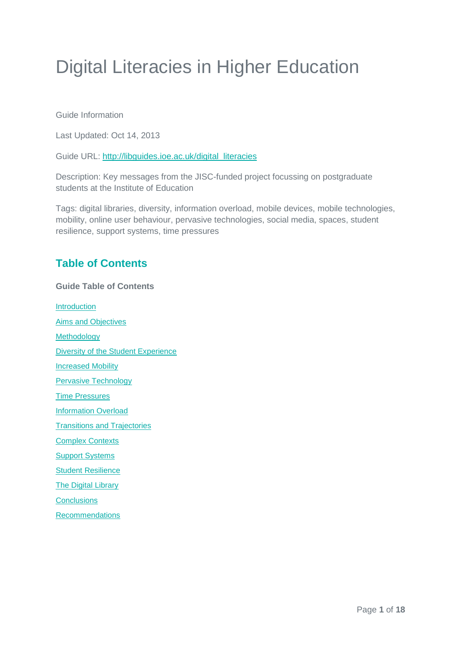# Digital Literacies in Higher Education

Guide Information

Last Updated: Oct 14, 2013

Guide URL: [http://libguides.ioe.ac.uk/digital\\_literacies](http://libguides.ioe.ac.uk/digital_literacies)

Description: Key messages from the JISC-funded project focussing on postgraduate students at the Institute of Education

Tags: digital libraries, diversity, information overload, mobile devices, mobile technologies, mobility, online user behaviour, pervasive technologies, social media, spaces, student resilience, support systems, time pressures

# **Table of Contents**

**Guide Table of Contents Introduction** [Aims and Objectives](#page-2-0) [Methodology](#page-2-1) [Diversity of the Student Experience](#page-3-0) **[Increased Mobility](#page-5-0)** [Pervasive Technology](#page-5-1) [Time Pressures](#page-6-0) [Information Overload](#page-7-0) [Transitions and Trajectories](#page-9-0) [Complex Contexts](#page-10-0) [Support Systems](#page-11-0) [Student Resilience](#page-12-0) **[The Digital Library](#page-12-1) [Conclusions](#page-14-0)** 

[Recommendations](#page-15-0)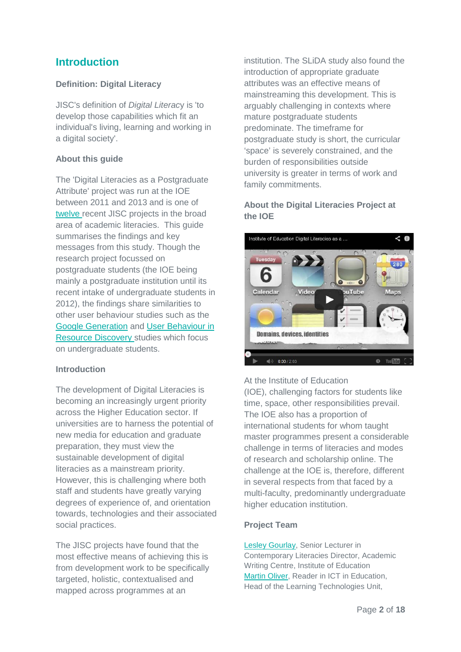# **Introduction**

### **Definition: Digital Literacy**

JISC's definition of *Digital Literac*y is 'to develop those capabilities which fit an individual's living, learning and working in a digital society'.

#### **About this guide**

The 'Digital Literacies as a Postgraduate Attribute' project was run at the IOE between 2011 and 2013 and is one of [twelve r](http://jiscdesignstudio.pbworks.com/w/page/51312743/DL%20PROJECTS%20INDEX)ecent JISC projects in the broad area of academic literacies. This guide summarises the findings and key messages from this study. Though the research project focussed on postgraduate students (the IOE being mainly a postgraduate institution until its recent intake of undergraduate students in 2012), the findings share similarities to other user behaviour studies such as the [Google Generation](http://www.jisc.ac.uk/whatwedo/programmes/resourcediscovery/googlegen.aspx) and [User Behaviour in](http://www.jisc.ac.uk/publications/programmerelated/2010/ubirdfinalreport.aspx)  [Resource Discovery s](http://www.jisc.ac.uk/publications/programmerelated/2010/ubirdfinalreport.aspx)tudies which focus on undergraduate students.

#### **Introduction**

The development of Digital Literacies is becoming an increasingly urgent priority across the Higher Education sector. If universities are to harness the potential of new media for education and graduate preparation, they must view the sustainable development of digital literacies as a mainstream priority. However, this is challenging where both staff and students have greatly varying degrees of experience of, and orientation towards, technologies and their associated social practices.

The JISC projects have found that the most effective means of achieving this is from development work to be specifically targeted, holistic, contextualised and mapped across programmes at an

institution. The SLiDA study also found the introduction of appropriate graduate attributes was an effective means of mainstreaming this development. This is arguably challenging in contexts where mature postgraduate students predominate. The timeframe for postgraduate study is short, the curricular 'space' is severely constrained, and the burden of responsibilities outside university is greater in terms of work and family commitments.

### **About the Digital Literacies Project at the IOE**



#### At the Institute of Education

(IOE), challenging factors for students like time, space, other responsibilities prevail. The IOE also has a proportion of international students for whom taught master programmes present a considerable challenge in terms of literacies and modes of research and scholarship online. The challenge at the IOE is, therefore, different in several respects from that faced by a multi-faculty, predominantly undergraduate higher education institution.

#### **Project Team**

[Lesley Gourlay,](http://www.ioe.ac.uk/staff/ccma/45255.html) Senior Lecturer in Contemporary Literacies Director, Academic Writing Centre, Institute of Education [Martin Oliver,](http://www.ioe.ac.uk/study/LKLB_39.html) Reader in ICT in Education, Head of the Learning Technologies Unit,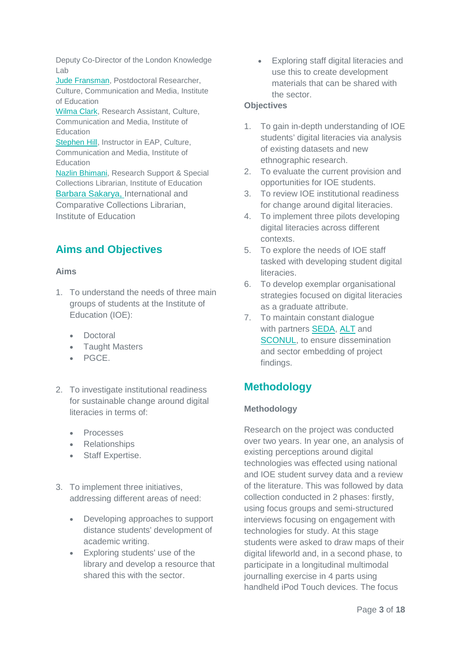Deputy Co-Director of the London Knowledge Lab

[Jude Fransman,](http://www.ioe.ac.uk/staff/FFCL/56569.html) Postdoctoral Researcher, Culture, Communication and Media, Institute of Education

[Wilma Clark,](http://www.ioe.ac.uk/staff/ccma/lklb_11.html) Research Assistant, Culture, Communication and Media, Institute of **Education** 

[Stephen Hill,](http://www.ioe.ac.uk/staff/LCCN_40.html) Instructor in EAP, Culture, Communication and Media, Institute of **Education** 

[Nazlin Bhimani,](http://libguides.ioe.ac.uk/profile/NazlinBhimani) Research Support & Special Collections Librarian, Institute of Education [Barbara Sakarya,](http://libguides.ioe.ac.uk/profile.php?uid=48187) International and Comparative Collections Librarian, Institute of Education

# <span id="page-2-0"></span>**Aims and Objectives**

#### **Aims**

- 1. To understand the needs of three main groups of students at the Institute of Education (IOE):
	- Doctoral
	- Taught Masters
	- PGCE.
- 2. To investigate institutional readiness for sustainable change around digital literacies in terms of:
	- Processes
	- Relationships
	- Staff Expertise.
- 3. To implement three initiatives, addressing different areas of need:
	- Developing approaches to support distance students' development of academic writing.
	- Exploring students' use of the library and develop a resource that shared this with the sector.

• Exploring staff digital literacies and use this to create development materials that can be shared with the sector.

#### **Objectives**

- 1. To gain in-depth understanding of IOE students' digital literacies via analysis of existing datasets and new ethnographic research.
- 2. To evaluate the current provision and opportunities for IOE students.
- 3. To review IOE institutional readiness for change around digital literacies.
- 4. To implement three pilots developing digital literacies across different contexts.
- 5. To explore the needs of IOE staff tasked with developing student digital literacies.
- 6. To develop exemplar organisational strategies focused on digital literacies as a graduate attribute.
- 7. To maintain constant dialogue with partners [SEDA,](http://www.seda.ac.uk/) [ALT](http://www.alt.ac.uk/) and [SCONUL,](http://www.sconul.ac.uk/) to ensure dissemination and sector embedding of project findings.

# <span id="page-2-1"></span>**Methodology**

### **Methodology**

Research on the project was conducted over two years. In year one, an analysis of existing perceptions around digital technologies was effected using national and IOE student survey data and a review of the literature. This was followed by data collection conducted in 2 phases: firstly, using focus groups and semi-structured interviews focusing on engagement with technologies for study. At this stage students were asked to draw maps of their digital lifeworld and, in a second phase, to participate in a longitudinal multimodal journalling exercise in 4 parts using handheld iPod Touch devices. The focus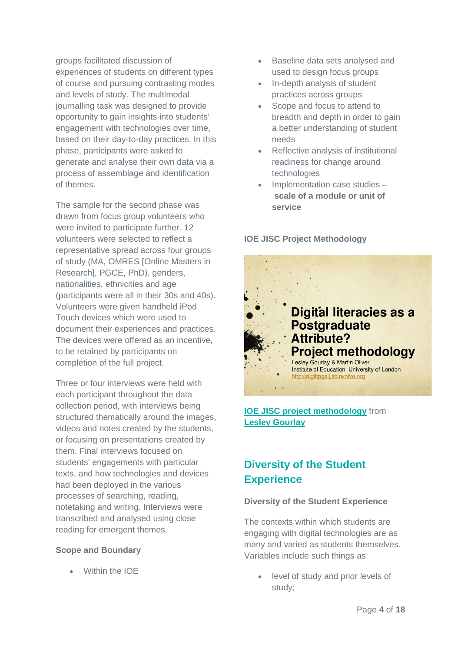groups facilitated discussion of experiences of students on different types of course and pursuing contrasting modes and levels of study. The multimodal journalling task was designed to provide opportunity to gain insights into students' engagement with technologies over time, based on their day-to-day practices. In this phase, participants were asked to generate and analyse their own data via a process of assemblage and identification of themes.

The sample for the second phase was drawn from focus group volunteers who were invited to participate further. 12 volunteers were selected to reflect a representative spread across four groups of study (MA, OMRES [Online Masters in Research], PGCE, PhD), genders, nationalities, ethnicities and age (participants were all in their 30s and 40s). Volunteers were given handheld iPod Touch devices which were used to document their experiences and practices. The devices were offered as an incentive, to be retained by participants on completion of the full project.

Three or four interviews were held with each participant throughout the data collection period, with interviews being structured thematically around the images, videos and notes created by the students, or focusing on presentations created by them. Final interviews focused on students' engagements with particular texts, and how technologies and devices had been deployed in the various processes of searching, reading, notetaking and writing. Interviews were transcribed and analysed using close reading for emergent themes.

#### **Scope and Boundary**

• Within the IOE

- Baseline data sets analysed and used to design focus groups
- In-depth analysis of student practices across groups
- Scope and focus to attend to breadth and depth in order to gain a better understanding of student needs
- Reflective analysis of institutional readiness for change around technologies
- Implementation case studies **scale of a module or unit of service**

**IOE JISC Project Methodology**



**[IOE JISC project methodology](https://www.slideshare.net/lesleygourlay/ioe-jisc-project-methodology)** from **[Lesley Gourlay](http://www.slideshare.net/lesleygourlay)** 

# <span id="page-3-0"></span>**Diversity of the Student Experience**

#### **Diversity of the Student Experience**

The contexts within which students are engaging with digital technologies are as many and varied as students themselves. Variables include such things as:

level of study and prior levels of study;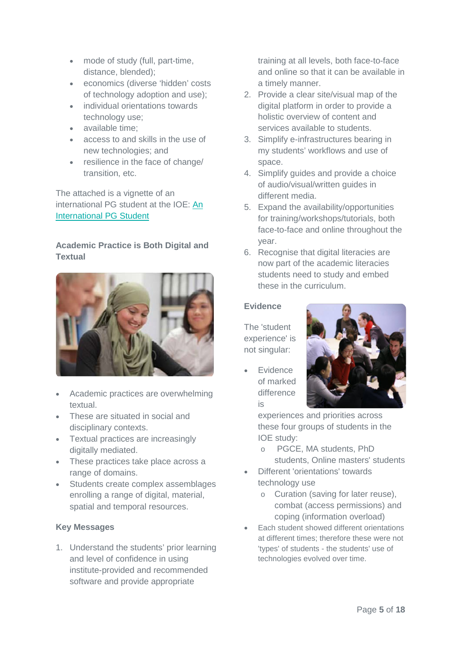- mode of study (full, part-time, distance, blended);
- economics (diverse 'hidden' costs of technology adoption and use);
- individual orientations towards technology use;
- available time;
- access to and skills in the use of new technologies; and
- resilience in the face of change/ transition, etc.

The attached is a vignette of an international PG student at the IOE: [An](http://libguides.ioe.ac.uk/loader.php?type=d&id=889836)  [International PG Student](http://libguides.ioe.ac.uk/loader.php?type=d&id=889836)

**Academic Practice is Both Digital and Textual**



- Academic practices are overwhelming textual.
- These are situated in social and disciplinary contexts.
- Textual practices are increasingly digitally mediated.
- These practices take place across a range of domains.
- Students create complex assemblages enrolling a range of digital, material, spatial and temporal resources.

### **Key Messages**

1. Understand the students' prior learning and level of confidence in using institute-provided and recommended software and provide appropriate

training at all levels, both face-to-face and online so that it can be available in a timely manner.

- 2. Provide a clear site/visual map of the digital platform in order to provide a holistic overview of content and services available to students.
- 3. Simplify e-infrastructures bearing in my students' workflows and use of space.
- 4. Simplify guides and provide a choice of audio/visual/written guides in different media.
- 5. Expand the availability/opportunities for training/workshops/tutorials, both face-to-face and online throughout the year.
- 6. Recognise that digital literacies are now part of the academic literacies students need to study and embed these in the curriculum.

### **Evidence**

The 'student experience' is not singular:

• Evidence of marked difference is



experiences and priorities across these four groups of students in the IOE study:

- o PGCE, MA students, PhD students, Online masters' students
- Different 'orientations' towards technology use
	- o Curation (saving for later reuse), combat (access permissions) and coping (information overload)
- Each student showed different orientations at different times; therefore these were not 'types' of students - the students' use of technologies evolved over time.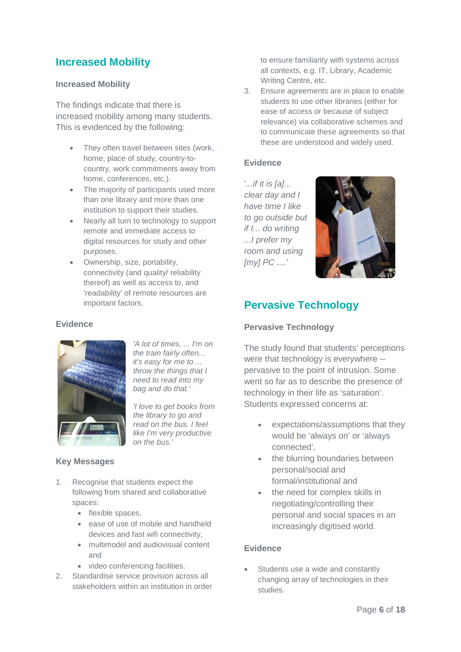# <span id="page-5-0"></span>**Increased Mobility**

#### **Increased Mobility**

The findings indicate that there is increased mobility among many students. This is evidenced by the following:

- They often travel between sites (work, home, place of study, country-tocountry, work commitments away from home, conferences, etc.).
- The majority of participants used more than one library and more than one institution to support their studies.
- Nearly all turn to technology to support remote and immediate access to digital resources for study and other purposes.
- Ownership, size, portability, connectivity (and quality/ reliability thereof) as well as access to, and 'readability' of remote resources are important factors.

#### **Evidence**



*'A lot of times, ... I'm on the train fairly often... it's easy for me to ... throw the things that I need to read into my bag and do that.'*

*'I love to get books from the library to go and read on the bus. I feel like I'm very productive on the bus.'*

#### **Key Messages**

- 1. Recognise that students expect the following from shared and collaborative spaces:
	- flexible spaces.
	- ease of use of mobile and handheld devices and fast wifi connectivity,
	- multimodel and audiovisual content and
	- video conferencing facilities.
- 2. Standardise service provision across all stakeholders within an institution in order

to ensure familiarity with systems across all contexts, e.g. IT, Library, Academic Writing Centre, etc.

3. Ensure agreements are in place to enable students to use other libraries (either for ease of access or because of subject relevance) via collaborative schemes and to communicate these agreements so that these are understood and widely used.

#### **Evidence**

'*...if it is [a]... clear day and I have time I like to go outside but if I... do writing ...I prefer my room and using [my] PC ....'*



# <span id="page-5-1"></span>**Pervasive Technology**

#### **Pervasive Technology**

The study found that students' perceptions were that technology is everywhere - pervasive to the point of intrusion. Some went so far as to describe the presence of technology in their life as 'saturation'. Students expressed concerns at:

- expectations/assumptions that they would be 'always on' or 'always connected',
- the blurring boundaries between personal/social and formal/institutional and
- the need for complex skills in negotiating/controlling their personal and social spaces in an increasingly digitised world.

#### **Evidence**

Students use a wide and constantly changing array of technologies in their studies.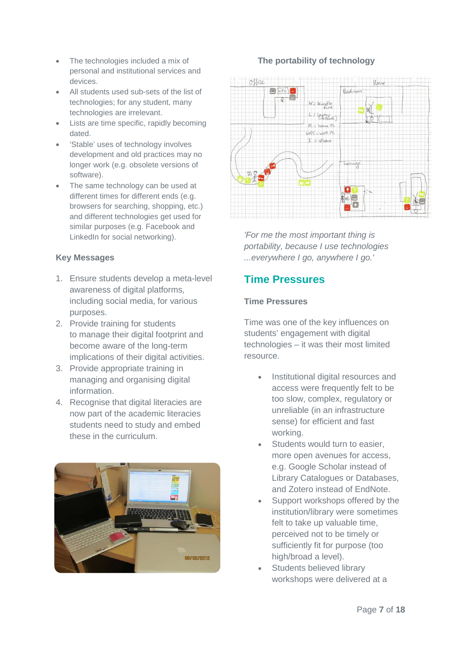- The technologies included a mix of personal and institutional services and devices.
- All students used sub-sets of the list of technologies; for any student, many technologies are irrelevant.
- Lists are time specific, rapidly becoming dated.
- 'Stable' uses of technology involves development and old practices may no longer work (e.g. obsolete versions of software).
- The same technology can be used at different times for different ends (e.g. browsers for searching, shopping, etc.) and different technologies get used for similar purposes (e.g. Facebook and LinkedIn for social networking).

### **Key Messages**

- 1. Ensure students develop a meta-level awareness of digital platforms, including social media, for various purposes.
- 2. Provide training for students to manage their digital footprint and become aware of the long-term implications of their digital activities.
- 3. Provide appropriate training in managing and organising digital information.
- 4. Recognise that digital literacies are now part of the academic literacies students need to study and embed these in the curriculum.



# **The portability of technology**



*'For me the most important thing is portability, because I use technologies ...everywhere I go, anywhere I go.'*

# <span id="page-6-0"></span>**Time Pressures**

### **Time Pressures**

Time was one of the key influences on students' engagement with digital technologies – it was their most limited resource.

- Institutional digital resources and access were frequently felt to be too slow, complex, regulatory or unreliable (in an infrastructure sense) for efficient and fast working.
- Students would turn to easier, more open avenues for access, e.g. Google Scholar instead of Library Catalogues or Databases, and Zotero instead of EndNote.
- Support workshops offered by the institution/library were sometimes felt to take up valuable time, perceived not to be timely or sufficiently fit for purpose (too high/broad a level).
- Students believed library workshops were delivered at a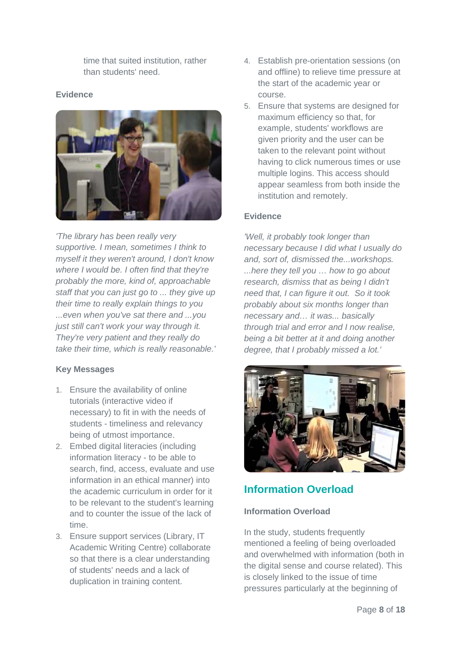time that suited institution, rather than students' need.

#### **Evidence**



*'The library has been really very supportive. I mean, sometimes I think to myself it they weren't around, I don't know where I would be. I often find that they're probably the more, kind of, approachable staff that you can just go to ... they give up their time to really explain things to you ...even when you've sat there and ...you just still can't work your way through it. They're very patient and they really do take their time, which is really reasonable.'*

### **Key Messages**

- 1. Ensure the availability of online tutorials (interactive video if necessary) to fit in with the needs of students - timeliness and relevancy being of utmost importance.
- 2. Embed digital literacies (including information literacy - to be able to search, find, access, evaluate and use information in an ethical manner) into the academic curriculum in order for it to be relevant to the student's learning and to counter the issue of the lack of time.
- 3. Ensure support services (Library, IT Academic Writing Centre) collaborate so that there is a clear understanding of students' needs and a lack of duplication in training content.
- 4. Establish pre-orientation sessions (on and offline) to relieve time pressure at the start of the academic year or course.
- 5. Ensure that systems are designed for maximum efficiency so that, for example, students' workflows are given priority and the user can be taken to the relevant point without having to click numerous times or use multiple logins. This access should appear seamless from both inside the institution and remotely.

#### **Evidence**

*'Well, it probably took longer than necessary because I did what I usually do and, sort of, dismissed the...workshops. ...here they tell you … how to go about research, dismiss that as being I didn't need that, I can figure it out. So it took probably about six months longer than necessary and… it was... basically through trial and error and I now realise, being a bit better at it and doing another degree, that I probably missed a lot.'*



# <span id="page-7-0"></span>**Information Overload**

### **Information Overload**

In the study, students frequently mentioned a feeling of being overloaded and overwhelmed with information (both in the digital sense and course related). This is closely linked to the issue of time pressures particularly at the beginning of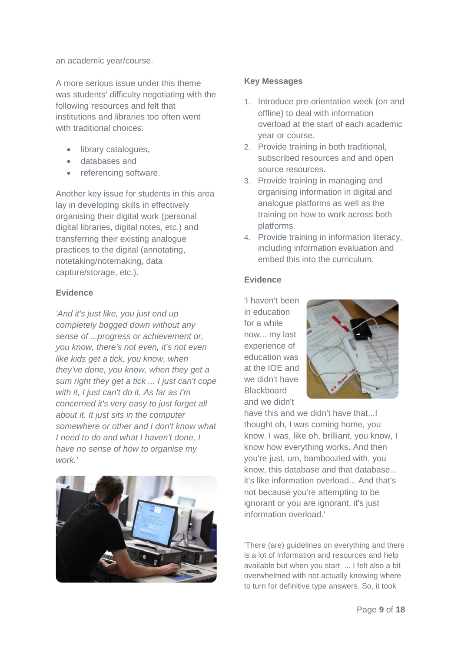an academic year/course.

A more serious issue under this theme was students' difficulty negotiating with the following resources and felt that institutions and libraries too often went with traditional choices:

- library catalogues,
- databases and
- referencing software.

Another key issue for students in this area lay in developing skills in effectively organising their digital work (personal digital libraries, digital notes, etc.) and transferring their existing analogue practices to the digital (annotating, notetaking/notemaking, data capture/storage, etc.).

#### **Evidence**

*'And it's just like, you just end up completely bogged down without any sense of ...progress or achievement or, you know, there's not even, it's not even like kids get a tick, you know, when they've done, you know, when they get a sum right they get a tick ... I just can't cope with it, I just can't do it. As far as I'm concerned it's very easy to just forget all about it. It just sits in the computer somewhere or other and I don't know what I need to do and what I haven't done, I have no sense of how to organise my work.'*



#### **Key Messages**

- 1. Introduce pre-orientation week (on and offline) to deal with information overload at the start of each academic year or course.
- 2. Provide training in both traditional, subscribed resources and and open source resources.
- 3. Provide training in managing and organising information in digital and analogue platforms as well as the training on how to work across both platforms.
- 4. Provide training in information literacy, including information evaluation and embed this into the curriculum.

#### **Evidence**

'I haven't been in education for a while now... my last experience of education was at the IOE and we didn't have **Blackboard** and we didn't



have this and we didn't have that...I thought oh, I was coming home, you know. I was, like oh, brilliant, you know, I know how everything works. And then you're just, um, bamboozled with, you know, this database and that database... it's like information overload... And that's not because you're attempting to be ignorant or you are ignorant, it's just information overload.'

'There (are) guidelines on everything and there is a lot of information and resources and help available but when you start ... I felt also a bit overwhelmed with not actually knowing where to turn for definitive type answers. So, it took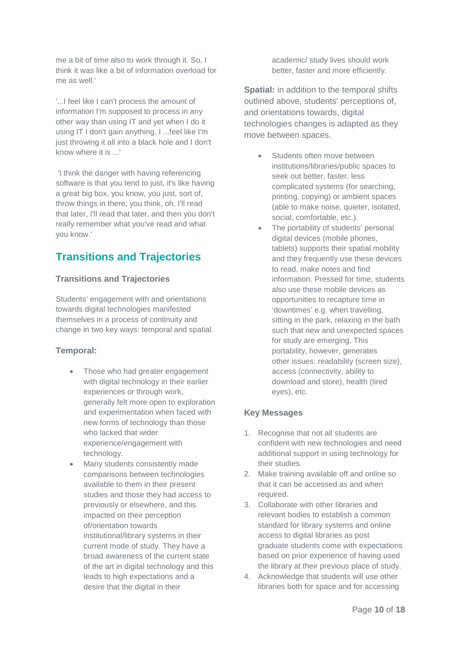me a bit of time also to work through it. So, I think it was like a bit of information overload for me as well.'

'...I feel like I can't process the amount of information I'm supposed to process in any other way than using IT and yet when I do it using IT I don't gain anything. I ...feel like I'm just throwing it all into a black hole and I don't know where it is ...'

'I think the danger with having referencing software is that you tend to just, it's like having a great big box, you know, you just, sort of, throw things in there, you think, oh, I'll read that later, I'll read that later, and then you don't really remember what you've read and what you know.'

# <span id="page-9-0"></span>**Transitions and Trajectories**

### **Transitions and Trajectories**

Students' engagement with and orientations towards digital technologies manifested themselves in a process of continuity and change in two key ways: temporal and spatial.

#### **Temporal:**

- Those who had greater engagement with digital technology in their earlier experiences or through work, generally felt more open to exploration and experimentation when faced with new forms of technology than those who lacked that wider experience/engagement with technology.
- Many students consistently made comparisons between technologies available to them in their present studies and those they had access to previously or elsewhere, and this impacted on their perception of/orientation towards institutional/library systems in their current mode of study. They have a broad awareness of the current state of the art in digital technology and this leads to high expectations and a desire that the digital in their

academic/ study lives should work better, faster and more efficiently.

**Spatial:** in addition to the temporal shifts outlined above, students' perceptions of, and orientations towards, digital technologies changes is adapted as they move between spaces.

- Students often move between institutions/libraries/public spaces to seek out better, faster, less complicated systems (for searching, printing, copying) or ambient spaces (able to make noise, quieter, isolated, social, comfortable, etc.).
- The portability of students' personal digital devices (mobile phones, tablets) supports their spatial mobility and they frequently use these devices to read, make notes and find information. Pressed for time, students also use these mobile devices as opportunities to recapture time in 'downtimes' e.g. when travelling, sitting in the park, relaxing in the bath such that new and unexpected spaces for study are emerging. This portability, however, generates other issues: readability (screen size), access (connectivity, ability to download and store), health (tired eyes), etc.

### **Key Messages**

- 1. Recognise that not all students are confident with new technologies and need additional support in using technology for their studies.
- 2. Make training available off and online so that it can be accessed as and when required.
- 3. Collaborate with other libraries and relevant bodies to establish a common standard for library systems and online access to digital libraries as post graduate students come with expectations based on prior experience of having used the library at their previous place of study.
- 4. Acknowledge that students will use other libraries both for space and for accessing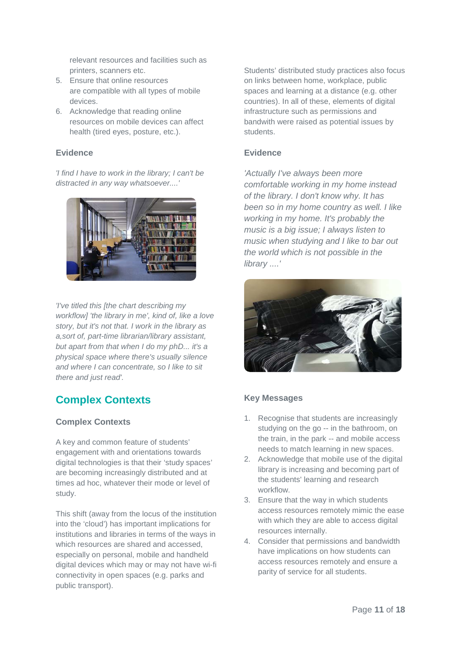relevant resources and facilities such as printers, scanners etc.

- 5. Ensure that online resources are compatible with all types of mobile devices.
- 6. Acknowledge that reading online resources on mobile devices can affect health (tired eyes, posture, etc.).

#### **Evidence**

*'I find I have to work in the library; I can't be distracted in any way whatsoever....'*



*'I've titled this [the chart describing my workflow] 'the library in me', kind of, like a love story, but it's not that. I work in the library as a,sort of, part-time librarian/library assistant, but apart from that when I do my phD... it's a physical space where there's usually silence and where I can concentrate, so I like to sit there and just read'.*

# <span id="page-10-0"></span>**Complex Contexts**

#### **Complex Contexts**

A key and common feature of students' engagement with and orientations towards digital technologies is that their 'study spaces' are becoming increasingly distributed and at times ad hoc, whatever their mode or level of study.

This shift (away from the locus of the institution into the 'cloud') has important implications for institutions and libraries in terms of the ways in which resources are shared and accessed, especially on personal, mobile and handheld digital devices which may or may not have wi-fi connectivity in open spaces (e.g. parks and public transport).

Students' distributed study practices also focus on links between home, workplace, public spaces and learning at a distance (e.g. other countries). In all of these, elements of digital infrastructure such as permissions and bandwith were raised as potential issues by students.

#### **Evidence**

*'Actually I've always been more comfortable working in my home instead of the library. I don't know why. It has been so in my home country as well. I like working in my home. It's probably the music is a big issue; I always listen to music when studying and I like to bar out the world which is not possible in the library ....'*



### **Key Messages**

- 1. Recognise that students are increasingly studying on the go -- in the bathroom, on the train, in the park -- and mobile access needs to match learning in new spaces.
- 2. Acknowledge that mobile use of the digital library is increasing and becoming part of the students' learning and research workflow.
- 3. Ensure that the way in which students access resources remotely mimic the ease with which they are able to access digital resources internally.
- 4. Consider that permissions and bandwidth have implications on how students can access resources remotely and ensure a parity of service for all students.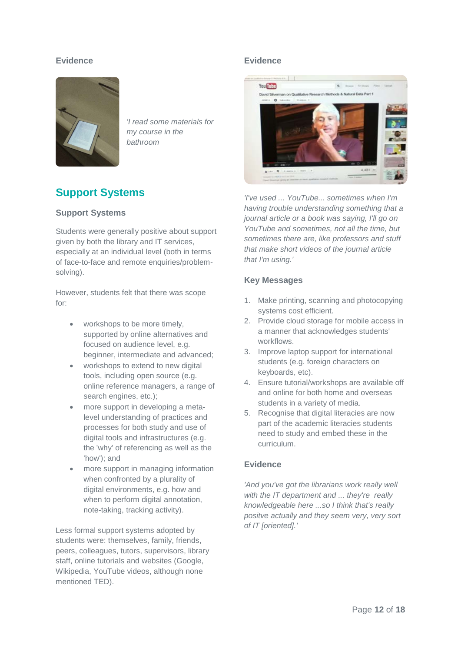#### **Evidence**



*'I read some materials for my course in the bathroom*

# <span id="page-11-0"></span>**Support Systems**

#### **Support Systems**

Students were generally positive about support given by both the library and IT services, especially at an individual level (both in terms of face-to-face and remote enquiries/problemsolving).

However, students felt that there was scope for:

- workshops to be more timely, supported by online alternatives and focused on audience level, e.g. beginner, intermediate and advanced;
- workshops to extend to new digital tools, including open source (e.g. online reference managers, a range of search engines, etc.);
- more support in developing a metalevel understanding of practices and processes for both study and use of digital tools and infrastructures (e.g. the 'why' of referencing as well as the 'how'); and
- more support in managing information when confronted by a plurality of digital environments, e.g. how and when to perform digital annotation, note-taking, tracking activity).

Less formal support systems adopted by students were: themselves, family, friends, peers, colleagues, tutors, supervisors, library staff, online tutorials and websites (Google, Wikipedia, YouTube videos, although none mentioned TED).

#### **Evidence**



*'I've used ... YouTube... sometimes when I'm having trouble understanding something that a journal article or a book was saying, I'll go on YouTube and sometimes, not all the time, but sometimes there are, like professors and stuff that make short videos of the journal article that I'm using.'*

#### **Key Messages**

- 1. Make printing, scanning and photocopying systems cost efficient.
- 2. Provide cloud storage for mobile access in a manner that acknowledges students' workflows.
- 3. Improve laptop support for international students (e.g. foreign characters on keyboards, etc).
- 4. Ensure tutorial/workshops are available off and online for both home and overseas students in a variety of media.
- 5. Recognise that digital literacies are now part of the academic literacies students need to study and embed these in the curriculum.

#### **Evidence**

*'And you've got the librarians work really well with the IT department and ... they're really knowledgeable here ...so I think that's really positve actually and they seem very, very sort of IT [oriented].'*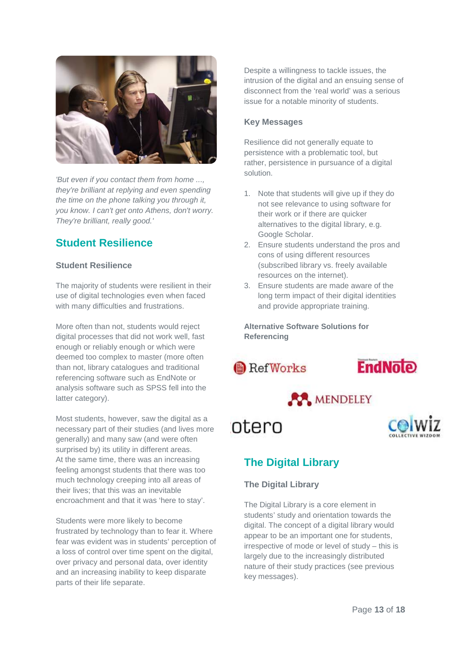

*'But even if you contact them from home ..., they're brilliant at replying and even spending the time on the phone talking you through it, you know. I can't get onto Athens, don't worry. They're brilliant, really good.'*

# <span id="page-12-0"></span>**Student Resilience**

#### **Student Resilience**

The majority of students were resilient in their use of digital technologies even when faced with many difficulties and frustrations.

More often than not, students would reject digital processes that did not work well, fast enough or reliably enough or which were deemed too complex to master (more often than not, library catalogues and traditional referencing software such as EndNote or analysis software such as SPSS fell into the latter category).

Most students, however, saw the digital as a necessary part of their studies (and lives more generally) and many saw (and were often surprised by) its utility in different areas. At the same time, there was an increasing feeling amongst students that there was too much technology creeping into all areas of their lives; that this was an inevitable encroachment and that it was 'here to stay'.

Students were more likely to become frustrated by technology than to fear it. Where fear was evident was in students' perception of a loss of control over time spent on the digital, over privacy and personal data, over identity and an increasing inability to keep disparate parts of their life separate.

Despite a willingness to tackle issues, the intrusion of the digital and an ensuing sense of disconnect from the 'real world' was a serious issue for a notable minority of students.

### **Key Messages**

Resilience did not generally equate to persistence with a problematic tool, but rather, persistence in pursuance of a digital solution.

- 1. Note that students will give up if they do not see relevance to using software for their work or if there are quicker alternatives to the digital library, e.g. Google Scholar.
- 2. Ensure students understand the pros and cons of using different resources (subscribed library vs. freely available resources on the internet).
- 3. Ensure students are made aware of the long term impact of their digital identities and provide appropriate training.

**Alternative Software Solutions for Referencing**

**RefWorks** 









# <span id="page-12-1"></span>**The Digital Library**

### **The Digital Library**

The Digital Library is a core element in students' study and orientation towards the digital. The concept of a digital library would appear to be an important one for students, irrespective of mode or level of study – this is largely due to the increasingly distributed nature of their study practices (see previous key messages).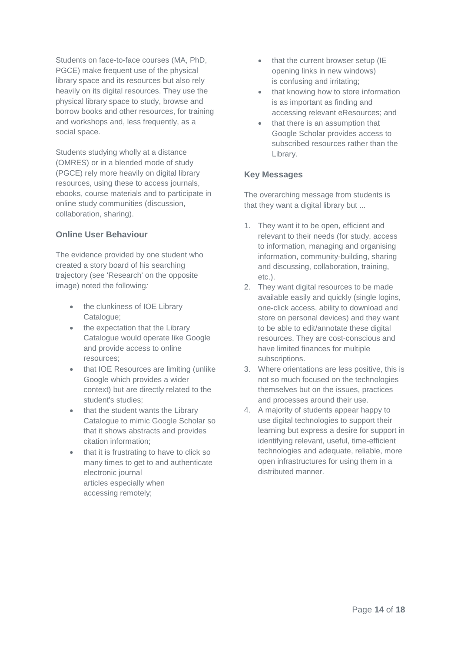Students on face-to-face courses (MA, PhD, PGCE) make frequent use of the physical library space and its resources but also rely heavily on its digital resources. They use the physical library space to study, browse and borrow books and other resources, for training and workshops and, less frequently, as a social space.

Students studying wholly at a distance (OMRES) or in a blended mode of study (PGCE) rely more heavily on digital library resources, using these to access journals, ebooks, course materials and to participate in online study communities (discussion, collaboration, sharing).

#### **Online User Behaviour**

The evidence provided by one student who created a story board of his searching trajectory (see 'Research' on the opposite image) noted the following*:*

- the clunkiness of IOE Library Catalogue;
- the expectation that the Library Catalogue would operate like Google and provide access to online resources;
- that IOE Resources are limiting (unlike Google which provides a wider context) but are directly related to the student's studies;
- that the student wants the Library Catalogue to mimic Google Scholar so that it shows abstracts and provides citation information;
- that it is frustrating to have to click so many times to get to and authenticate electronic journal articles especially when accessing remotely;
- that the current browser setup (IE opening links in new windows) is confusing and irritating;
- that knowing how to store information is as important as finding and accessing relevant eResources; and
- that there is an assumption that Google Scholar provides access to subscribed resources rather than the Library.

#### **Key Messages**

The overarching message from students is that they want a digital library but ...

- 1. They want it to be open, efficient and relevant to their needs (for study, access to information, managing and organising information, community-building, sharing and discussing, collaboration, training, etc.).
- 2. They want digital resources to be made available easily and quickly (single logins, one-click access, ability to download and store on personal devices) and they want to be able to edit/annotate these digital resources. They are cost-conscious and have limited finances for multiple subscriptions.
- 3. Where orientations are less positive, this is not so much focused on the technologies themselves but on the issues, practices and processes around their use.
- 4. A majority of students appear happy to use digital technologies to support their learning but express a desire for support in identifying relevant, useful, time-efficient technologies and adequate, reliable, more open infrastructures for using them in a distributed manner.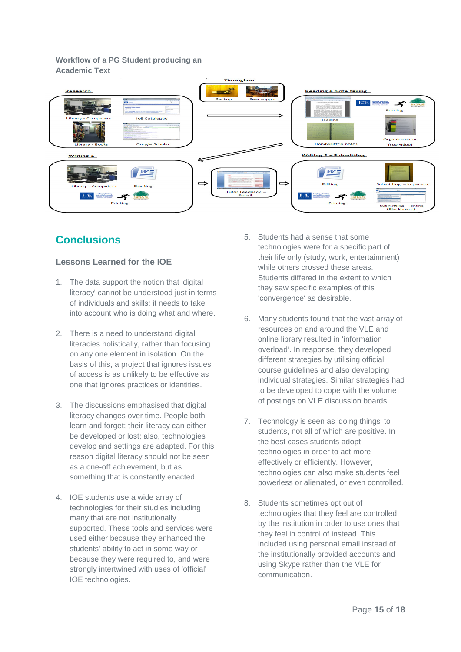#### **Workflow of a PG Student producing an Academic Text**



# <span id="page-14-0"></span>**Conclusions**

# **Lessons Learned for the IOE**

- 1. The data support the notion that 'digital literacy' cannot be understood just in terms of individuals and skills; it needs to take into account who is doing what and where.
- 2. There is a need to understand digital literacies holistically, rather than focusing on any one element in isolation. On the basis of this, a project that ignores issues of access is as unlikely to be effective as one that ignores practices or identities.
- 3. The discussions emphasised that digital literacy changes over time. People both learn and forget; their literacy can either be developed or lost; also, technologies develop and settings are adapted. For this reason digital literacy should not be seen as a one-off achievement, but as something that is constantly enacted.
- 4. IOE students use a wide array of technologies for their studies including many that are not institutionally supported. These tools and services were used either because they enhanced the students' ability to act in some way or because they were required to, and were strongly intertwined with uses of 'official' IOE technologies.
- 5. Students had a sense that some technologies were for a specific part of their life only (study, work, entertainment) while others crossed these areas. Students differed in the extent to which they saw specific examples of this 'convergence' as desirable.
- 6. Many students found that the vast array of resources on and around the VLE and online library resulted in 'information overload'. In response, they developed different strategies by utilising official course guidelines and also developing individual strategies. Similar strategies had to be developed to cope with the volume of postings on VLE discussion boards.
- 7. Technology is seen as 'doing things' to students, not all of which are positive. In the best cases students adopt technologies in order to act more effectively or efficiently. However, technologies can also make students feel powerless or alienated, or even controlled.
- 8. Students sometimes opt out of technologies that they feel are controlled by the institution in order to use ones that they feel in control of instead. This included using personal email instead of the institutionally provided accounts and using Skype rather than the VLE for communication.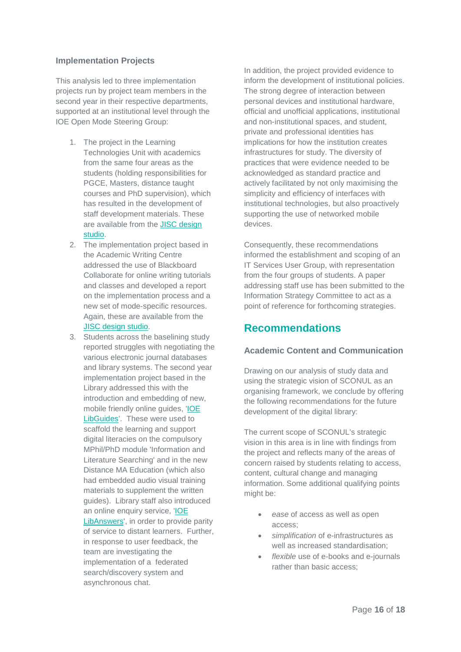#### **Implementation Projects**

This analysis led to three implementation projects run by project team members in the second year in their respective departments, supported at an institutional level through the IOE Open Mode Steering Group:

- 1. The project in the Learning Technologies Unit with academics from the same four areas as the students (holding responsibilities for PGCE, Masters, distance taught courses and PhD supervision), which has resulted in the development of staff development materials. These are available from the [JISC design](http://jiscdesignstudio.pbworks.com/w/page/50732695/Digital%20Literacies%20as%20a%20Postgraduate%20Attribute%20project)  [studio.](http://jiscdesignstudio.pbworks.com/w/page/50732695/Digital%20Literacies%20as%20a%20Postgraduate%20Attribute%20project)
- 2. The implementation project based in the Academic Writing Centre addressed the use of Blackboard Collaborate for online writing tutorials and classes and developed a report on the implementation process and a new set of mode-specific resources. Again, these are available from the [JISC design studio.](http://jiscdesignstudio.pbworks.com/w/page/50732695/Digital%20Literacies%20as%20a%20Postgraduate%20Attribute%20project)
- 3. Students across the baselining study reported struggles with negotiating the various electronic journal databases and library systems. The second year implementation project based in the Library addressed this with the introduction and embedding of new, mobile friendly online guides, ['IOE](http://libguides.ioe.ac.uk/)  [LibGuides'](http://libguides.ioe.ac.uk/). These were used to scaffold the learning and support digital literacies on the compulsory MPhil/PhD module 'Information and Literature Searching' and in the new Distance MA Education (which also had embedded audio visual training materials to supplement the written guides). Library staff also introduced an online enquiry service, ['IOE](http://libanswers.ioe.ac.uk/)  [LibAnswers',](http://libanswers.ioe.ac.uk/) in order to provide parity of service to distant learners. Further, in response to user feedback, the team are investigating the implementation of a federated search/discovery system and asynchronous chat.

In addition, the project provided evidence to inform the development of institutional policies. The strong degree of interaction between personal devices and institutional hardware, official and unofficial applications, institutional and non-institutional spaces, and student, private and professional identities has implications for how the institution creates infrastructures for study. The diversity of practices that were evidence needed to be acknowledged as standard practice and actively facilitated by not only maximising the simplicity and efficiency of interfaces with institutional technologies, but also proactively supporting the use of networked mobile devices.

Consequently, these recommendations informed the establishment and scoping of an IT Services User Group, with representation from the four groups of students. A paper addressing staff use has been submitted to the Information Strategy Committee to act as a point of reference for forthcoming strategies.

# <span id="page-15-0"></span>**Recommendations**

#### **Academic Content and Communication**

Drawing on our analysis of study data and using the strategic vision of SCONUL as an organising framework, we conclude by offering the following recommendations for the future development of the digital library:

The current scope of SCONUL's strategic vision in this area is in line with findings from the project and reflects many of the areas of concern raised by students relating to access, content, cultural change and managing information. Some additional qualifying points might be:

- *ease* of access as well as open access;
- *simplification* of e-infrastructures as well as increased standardisation;
- *flexible* use of e-books and e-journals rather than basic access;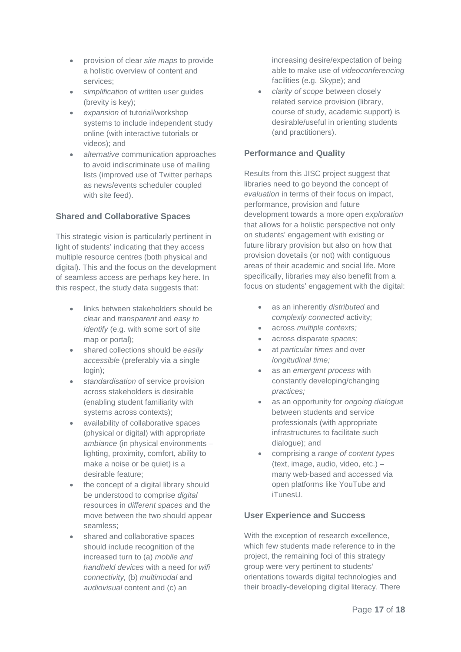- provision of clear *site maps* to provide a holistic overview of content and services;
- *simplification* of written user guides (brevity is key);
- *expansion* of tutorial/workshop systems to include independent study online (with interactive tutorials or videos); and
- *alternative* communication approaches to avoid indiscriminate use of mailing lists (improved use of Twitter perhaps as news/events scheduler coupled with site feed).

### **Shared and Collaborative Spaces**

This strategic vision is particularly pertinent in light of students' indicating that they access multiple resource centres (both physical and digital). This and the focus on the development of seamless access are perhaps key here. In this respect, the study data suggests that:

- links between stakeholders should be *clear* and *transparent* and *easy to identify* (e.g. with some sort of site map or portal);
- shared collections should be *easily accessible* (preferably via a single login);
- *standardisation* of service provision across stakeholders is desirable (enabling student familiarity with systems across contexts);
- availability of collaborative spaces (physical or digital) with appropriate *ambiance* (in physical environments – lighting, proximity, comfort, ability to make a noise or be quiet) is a desirable feature;
- the concept of a digital library should be understood to comprise *digital*  resources in *different spaces* and the move between the two should appear seamless;
- shared and collaborative spaces should include recognition of the increased turn to (a) *mobile and handheld devices* with a need for *wifi connectivity,* (b) *multimodal* and *audiovisual* content and (c) an

increasing desire/expectation of being able to make use of *videoconferencing* facilities (e.g. Skype); and

• *clarity of scope* between closely related service provision (library, course of study, academic support) is desirable/useful in orienting students (and practitioners).

#### **Performance and Quality**

Results from this JISC project suggest that libraries need to go beyond the concept of *evaluation* in terms of their focus on impact, performance, provision and future development towards a more open *exploration*  that allows for a holistic perspective not only on students' engagement with existing or future library provision but also on how that provision dovetails (or not) with contiguous areas of their academic and social life. More specifically, libraries may also benefit from a focus on students' engagement with the digital:

- as an inherently *distributed* and *complexly connected* activity;
- across *multiple contexts;*
- across disparate *spaces;*
- at *particular times* and over *longitudinal time;*
- as an *emergent process* with constantly developing/changing *practices;*
- as an opportunity for *ongoing dialogue*  between students and service professionals (with appropriate infrastructures to facilitate such dialogue); and
- comprising a *range of content types* (text, image, audio, video, etc.) – many web-based and accessed via open platforms like YouTube and iTunesU.

#### **User Experience and Success**

With the exception of research excellence. which few students made reference to in the project, the remaining foci of this strategy group were very pertinent to students' orientations towards digital technologies and their broadly-developing digital literacy. There